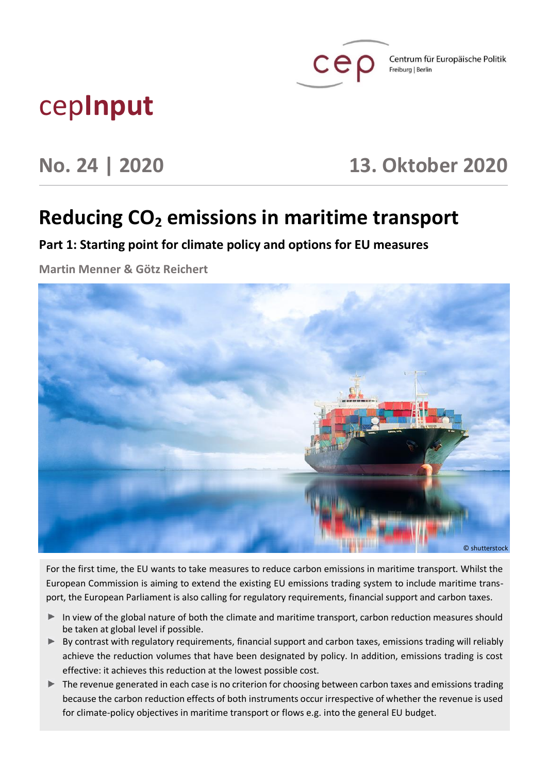

Centrum für Europäische Politik Freiburg | Berlin

# cep**Input**

# **No. 24 | 2020 13. Oktober 2020**

# **Reducing CO<sup>2</sup> emissions in maritime transport**

**Part 1: Starting point for climate policy and options for EU measures**

**Martin Menner & Götz Reichert**



For the first time, the EU wants to take measures to reduce carbon emissions in maritime transport. Whilst the European Commission is aiming to extend the existing EU emissions trading system to include maritime transport, the European Parliament is also calling for regulatory requirements, financial support and carbon taxes.

- In view of the global nature of both the climate and maritime transport, carbon reduction measures should be taken at global level if possible.
- $\triangleright$  By contrast with regulatory requirements, financial support and carbon taxes, emissions trading will reliably achieve the reduction volumes that have been designated by policy. In addition, emissions trading is cost effective: it achieves this reduction at the lowest possible cost.
- The revenue generated in each case is no criterion for choosing between carbon taxes and emissions trading because the carbon reduction effects of both instruments occur irrespective of whether the revenue is used for climate-policy objectives in maritime transport or flows e.g. into the general EU budget.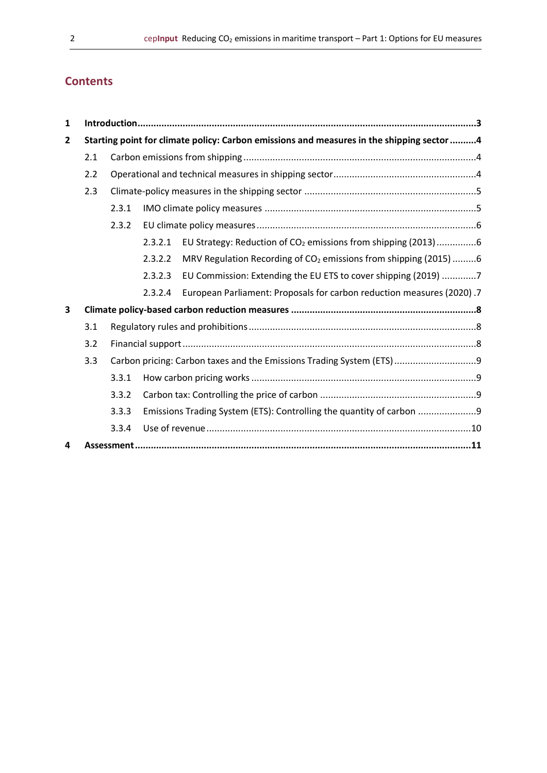# **Contents**

| $\mathbf{1}$   |                                                                                           |                                                                       |                                                                      |                                                                              |  |  |
|----------------|-------------------------------------------------------------------------------------------|-----------------------------------------------------------------------|----------------------------------------------------------------------|------------------------------------------------------------------------------|--|--|
| $\overline{2}$ | Starting point for climate policy: Carbon emissions and measures in the shipping sector 4 |                                                                       |                                                                      |                                                                              |  |  |
|                | 2.1                                                                                       |                                                                       |                                                                      |                                                                              |  |  |
|                | 2.2                                                                                       |                                                                       |                                                                      |                                                                              |  |  |
|                | 2.3                                                                                       |                                                                       |                                                                      |                                                                              |  |  |
|                |                                                                                           | 2.3.1                                                                 |                                                                      |                                                                              |  |  |
|                |                                                                                           | 2.3.2                                                                 |                                                                      |                                                                              |  |  |
|                |                                                                                           |                                                                       | 2.3.2.1                                                              | EU Strategy: Reduction of CO <sub>2</sub> emissions from shipping (2013) 6   |  |  |
|                |                                                                                           |                                                                       | 2.3.2.2                                                              | MRV Regulation Recording of CO <sub>2</sub> emissions from shipping (2015) 6 |  |  |
|                |                                                                                           |                                                                       | 2.3.2.3                                                              | EU Commission: Extending the EU ETS to cover shipping (2019) 7               |  |  |
|                |                                                                                           |                                                                       | 2.3.2.4                                                              | European Parliament: Proposals for carbon reduction measures (2020) .7       |  |  |
| 3              |                                                                                           |                                                                       |                                                                      |                                                                              |  |  |
|                | 3.1                                                                                       |                                                                       |                                                                      |                                                                              |  |  |
|                | 3.2                                                                                       |                                                                       |                                                                      |                                                                              |  |  |
|                | 3.3                                                                                       | Carbon pricing: Carbon taxes and the Emissions Trading System (ETS) 9 |                                                                      |                                                                              |  |  |
|                |                                                                                           | 3.3.1                                                                 | Emissions Trading System (ETS): Controlling the quantity of carbon 9 |                                                                              |  |  |
|                |                                                                                           | 3.3.2                                                                 |                                                                      |                                                                              |  |  |
|                |                                                                                           | 3.3.3                                                                 |                                                                      |                                                                              |  |  |
|                |                                                                                           | 3.3.4                                                                 |                                                                      |                                                                              |  |  |
| 4              |                                                                                           | Assessment.                                                           |                                                                      |                                                                              |  |  |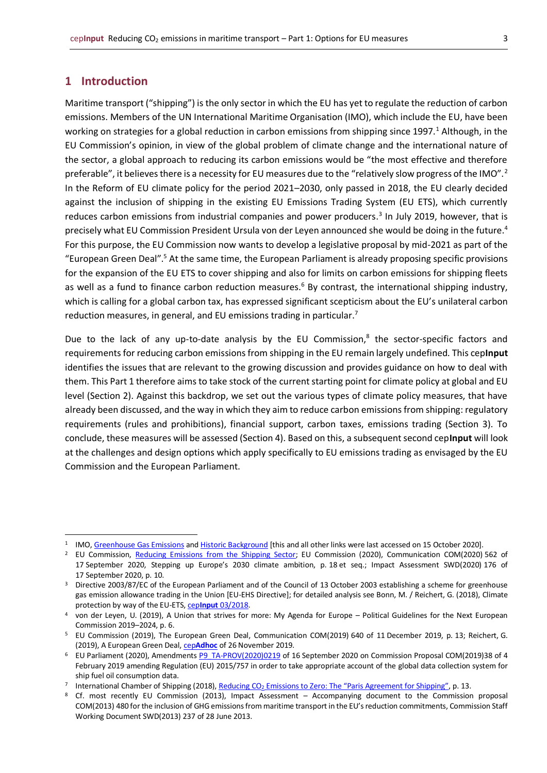## <span id="page-2-0"></span>**1 Introduction**

Maritime transport ("shipping") is the only sector in which the EU has yet to regulate the reduction of carbon emissions. Members of the UN International Maritime Organisation (IMO), which include the EU, have been working on strategies for a global reduction in carbon emissions from shipping since 1997.<sup>1</sup> Although, in the EU Commission's opinion, in view of the global problem of climate change and the international nature of the sector, a global approach to reducing its carbon emissions would be "the most effective and therefore preferable", it believes there is a necessity for EU measures due to the "relatively slow progress of the IMO".<sup>2</sup> In the Reform of EU climate policy for the period 2021–2030, only passed in 2018, the EU clearly decided against the inclusion of shipping in the existing EU Emissions Trading System (EU ETS), which currently reduces carbon emissions from industrial companies and power producers.<sup>3</sup> In July 2019, however, that is precisely what EU Commission President Ursula von der Leyen announced she would be doing in the future.<sup>4</sup> For this purpose, the EU Commission now wants to develop a legislative proposal by mid-2021 as part of the "European Green Deal".<sup>5</sup> At the same time, the European Parliament is already proposing specific provisions for the expansion of the EU ETS to cover shipping and also for limits on carbon emissions for shipping fleets as well as a fund to finance carbon reduction measures.<sup>6</sup> By contrast, the international shipping industry, which is calling for a global carbon tax, has expressed significant scepticism about the EU's unilateral carbon reduction measures, in general, and EU emissions trading in particular.<sup>7</sup>

Due to the lack of any up-to-date analysis by the EU Commission,<sup>8</sup> the sector-specific factors and requirements for reducing carbon emissions from shipping in the EU remain largely undefined. This cep**Input** identifies the issues that are relevant to the growing discussion and provides guidance on how to deal with them. This Part 1 therefore aims to take stock of the current starting point for climate policy at global and EU level (Section 2). Against this backdrop, we set out the various types of climate policy measures, that have already been discussed, and the way in which they aim to reduce carbon emissions from shipping: regulatory requirements (rules and prohibitions), financial support, carbon taxes, emissions trading (Section 3). To conclude, these measures will be assessed (Section 4). Based on this, a subsequent second cep**Input** will look at the challenges and design options which apply specifically to EU emissions trading as envisaged by the EU Commission and the European Parliament.

<sup>&</sup>lt;sup>1</sup> IMO[, Greenhouse Gas Emissions](http://www.imo.org/en/OurWork/Environment/PollutionPrevention/AirPollution/Pages/GHG-Emissions.aspx) an[d Historic Background](http://www.imo.org/en/OurWork/Environment/PollutionPrevention/AirPollution/Pages/Historic%20Background%20GHG.aspx) [this and all other links were last accessed on 15 October 2020].

<sup>&</sup>lt;sup>2</sup> EU Commission, [Reducing Emissions from the Shipping Sector;](https://ec.europa.eu/clima/policies/transport/shipping_en) EU Commission (2020), Communication COM(2020) 562 of 17 September 2020, Stepping up Europe's 2030 climate ambition, p. 18 et seq.; Impact Assessment SWD(2020) 176 of 17 September 2020, p. 10.

<sup>&</sup>lt;sup>3</sup> Directive 2003/87/EC of the European Parliament and of the Council of 13 October 2003 establishing a scheme for greenhouse gas emission allowance trading in the Union [EU-EHS Directive]; for detailed analysis see Bonn, M. / Reichert, G. (2018), Climate protection by way of the EU-ETS, cep**Input** [03/2018.](https://www.cep.eu/en/eu-topics/details/cep/climate-protection-by-way-of-the-eu-ets.html)

<sup>4</sup> von der Leyen, U. (2019), A Union that strives for more: My Agenda for Europe – Political Guidelines for the Next European Commission 2019–2024, p. 6.

<sup>5</sup> EU Commission (2019), The European Green Deal, Communication COM(2019) 640 of 11 December 2019, p. 13; Reichert, G. (2019), A European Green Deal, cep**[Adhoc](https://www.cep.eu/en/eu-topics/details/cep/arbeitsauftraege-von-der-leyens-an-die-neue-eu-kommission-teil-2-ein-europaeischer-gruener-deal.html)** of 26 November 2019.

<sup>&</sup>lt;sup>6</sup> EU Parliament (2020), Amendments [P9\\_TA-PROV\(2020\)0219](https://www.europarl.europa.eu/doceo/document/TA-9-2020-0219_EN.html) of 16 September 2020 on Commission Proposal COM(2019)38 of 4 February 2019 amending Regulation (EU) 2015/757 in order to take appropriate account of the global data collection system for ship fuel oil consumption data.

<sup>&</sup>lt;sup>7</sup> International Chamber of Shipping (2018), <u>Reducing CO<sub>2</sub> [Emissions to Zero:](https://www.ics-shipping.org/docs/default-source/resources/reducing-co2-emissions-to-zero-the-paris-agreement-for-shipping.pdf?sfvrsn=7) [The "Paris Agreement for Shipping"](https://www.ics-shipping.org/docs/default-source/resources/reducing-co2-emissions-to-zero-the-paris-agreement-for-shipping.pdf?sfvrsn=7)</u>, p. 13.

<sup>8</sup> Cf. most recently EU Commission (2013), Impact Assessment – Accompanying document to the Commission proposal COM(2013) 480 for the inclusion of GHG emissions from maritime transport in the EU's reduction commitments, Commission Staff Working Document SWD(2013) 237 of 28 June 2013.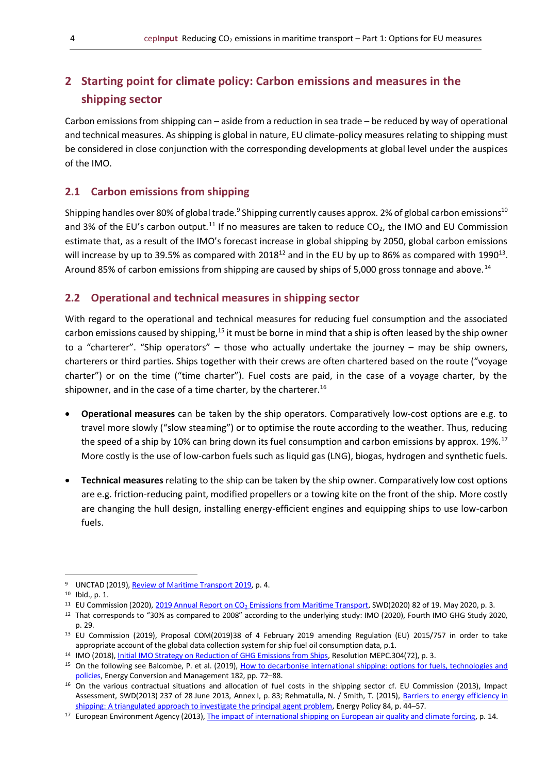# <span id="page-3-0"></span>**2 Starting point for climate policy: Carbon emissions and measures in the shipping sector**

Carbon emissions from shipping can – aside from a reduction in sea trade – be reduced by way of operational and technical measures. As shipping is global in nature, EU climate-policy measures relating to shipping must be considered in close conjunction with the corresponding developments at global level under the auspices of the IMO.

#### <span id="page-3-1"></span>**2.1 Carbon emissions from shipping**

Shipping handles over 80% of global trade.<sup>9</sup> Shipping currently causes approx. 2% of global carbon emissions $^{10}$ and 3% of the EU's carbon output.<sup>11</sup> If no measures are taken to reduce  $CO<sub>2</sub>$ , the IMO and EU Commission estimate that, as a result of the IMO's forecast increase in global shipping by 2050, global carbon emissions will increase by up to 39.5% as compared with 2018<sup>12</sup> and in the EU by up to 86% as compared with 1990<sup>13</sup>. Around 85% of carbon emissions from shipping are caused by ships of 5,000 gross tonnage and above.<sup>14</sup>

### <span id="page-3-2"></span>**2.2 Operational and technical measures in shipping sector**

With regard to the operational and technical measures for reducing fuel consumption and the associated carbon emissions caused by shipping,<sup>15</sup> it must be borne in mind that a ship is often leased by the ship owner to a "charterer". "Ship operators" – those who actually undertake the journey – may be ship owners, charterers or third parties. Ships together with their crews are often chartered based on the route ("voyage charter") or on the time ("time charter"). Fuel costs are paid, in the case of a voyage charter, by the shipowner, and in the case of a time charter, by the charterer.<sup>16</sup>

- **Operational measures** can be taken by the ship operators. Comparatively low-cost options are e.g. to travel more slowly ("slow steaming") or to optimise the route according to the weather. Thus, reducing the speed of a ship by 10% can bring down its fuel consumption and carbon emissions by approx. 19%.<sup>17</sup> More costly is the use of low-carbon fuels such as liquid gas (LNG), biogas, hydrogen and synthetic fuels.
- **Technical measures** relating to the ship can be taken by the ship owner. Comparatively low cost options are e.g. friction-reducing paint, modified propellers or a towing kite on the front of the ship. More costly are changing the hull design, installing energy-efficient engines and equipping ships to use low-carbon fuels.

<sup>9</sup> UNCTAD (2019), [Review of Maritime Transport 2019,](https://unctad.org/en/PublicationsLibrary/rmt2019_en.pdf) p. 4.

 $10$  Ibid., p. 1.

<sup>&</sup>lt;sup>11</sup> EU Commission (2020), 2019 Annual Report on CO<sub>2</sub> [Emissions from Maritime Transport,](https://ec.europa.eu/clima/sites/clima/files/transport/shipping/docs/swd_2020_82_en.pdf) SWD(2020) 82 of 19. May 2020, p. 3.

<sup>&</sup>lt;sup>12</sup> That corresponds to "30% as compared to 2008" according to the underlying study: IMO (2020), Fourth IMO GHG Study 2020, p. 29.

<sup>13</sup> EU Commission (2019), Proposal COM(2019)38 of 4 February 2019 amending Regulation (EU) 2015/757 in order to take appropriate account of the global data collection system for ship fuel oil consumption data, p.1.

<sup>&</sup>lt;sup>14</sup> IMO (2018)[, Initial IMO Strategy on Reduction of GHG Emissions from Ships,](http://www.imo.org/en/OurWork/Environment/PollutionPrevention/AirPollution/Documents/Resolution%20MEPC.304(72)_E.pdf) Resolution MEPC.304(72), p. 3.

<sup>15</sup> On the following see Balcombe, P. et al. (2019), How to decarbonise international shipping: options for fuels, technologies and [policies,](https://www.researchgate.net/publication/330308528_How_to_decarbonise_international_shipping_Options_for_fuels_technologies_and_policies) Energy Conversion and Management 182, pp. 72–88.

<sup>&</sup>lt;sup>16</sup> On the various contractual situations and allocation of fuel costs in the shipping sector cf. EU Commission (2013), Impact Assessment, SWD(2013) 237 of 28 June 2013, Annex I, p. 83; Rehmatulla, N. / Smith, T. (2015), Barriers to energy efficiency in [shipping:](https://www.sciencedirect.com/science/article/pii/S030142151500169X) [A triangulated approach to investigate the principal agent problem,](https://www.sciencedirect.com/science/article/pii/S030142151500169X) Energy Policy 84, p. 44–57.

<sup>&</sup>lt;sup>17</sup> European Environment Agency (2013), *The impact of international shipping on European air quality and climate forcing*, p. 14.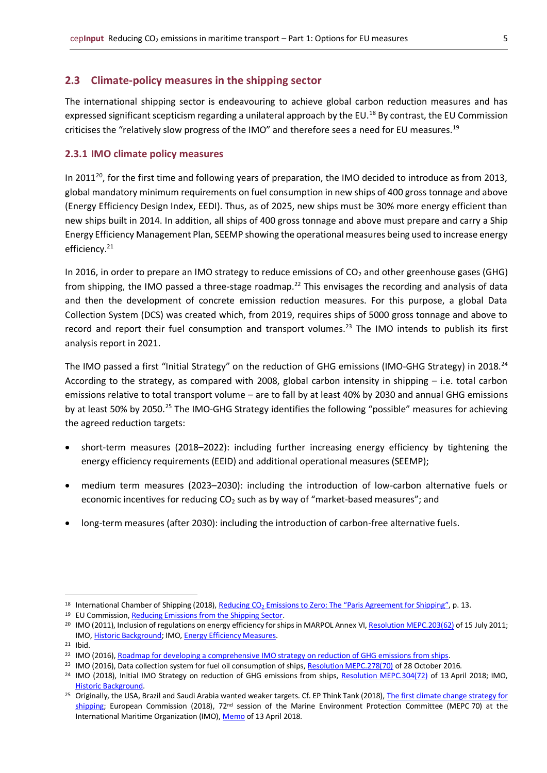## <span id="page-4-0"></span>**2.3 Climate-policy measures in the shipping sector**

The international shipping sector is endeavouring to achieve global carbon reduction measures and has expressed significant scepticism regarding a unilateral approach by the EU.<sup>18</sup> By contrast, the EU Commission criticises the "relatively slow progress of the IMO" and therefore sees a need for EU measures.<sup>19</sup>

### <span id="page-4-1"></span>**2.3.1 IMO climate policy measures**

In 2011<sup>20</sup>, for the first time and following years of preparation, the IMO decided to introduce as from 2013, global mandatory minimum requirements on fuel consumption in new ships of 400 gross tonnage and above (Energy Efficiency Design Index, EEDI). Thus, as of 2025, new ships must be 30% more energy efficient than new ships built in 2014. In addition, all ships of 400 gross tonnage and above must prepare and carry a Ship Energy Efficiency Management Plan, SEEMP showing the operational measures being used to increase energy efficiency.<sup>21</sup>

In 2016, in order to prepare an IMO strategy to reduce emissions of  $CO<sub>2</sub>$  and other greenhouse gases (GHG) from shipping, the IMO passed a three-stage roadmap.<sup>22</sup> This envisages the recording and analysis of data and then the development of concrete emission reduction measures. For this purpose, a global Data Collection System (DCS) was created which, from 2019, requires ships of 5000 gross tonnage and above to record and report their fuel consumption and transport volumes.<sup>23</sup> The IMO intends to publish its first analysis report in 2021.

The IMO passed a first "Initial Strategy" on the reduction of GHG emissions (IMO-GHG Strategy) in 2018.<sup>24</sup> According to the strategy, as compared with 2008, global carbon intensity in shipping – i.e. total carbon emissions relative to total transport volume – are to fall by at least 40% by 2030 and annual GHG emissions by at least 50% by 2050.<sup>25</sup> The IMO-GHG Strategy identifies the following "possible" measures for achieving the agreed reduction targets:

- short-term measures (2018–2022): including further increasing energy efficiency by tightening the energy efficiency requirements (EEID) and additional operational measures (SEEMP);
- medium term measures (2023–2030): including the introduction of low-carbon alternative fuels or economic incentives for reducing CO<sub>2</sub> such as by way of "market-based measures"; and
- long-term measures (after 2030): including the introduction of carbon-free alternative fuels.

<sup>&</sup>lt;sup>18</sup> International Chamber of Shipping (2018), Reducing CO<sub>2</sub> [Emissions to Zero:](https://www.ics-shipping.org/docs/default-source/resources/reducing-co2-emissions-to-zero-the-paris-agreement-for-shipping.pdf?sfvrsn=7) [The "Paris Agreement for Shipping"](https://www.ics-shipping.org/docs/default-source/resources/reducing-co2-emissions-to-zero-the-paris-agreement-for-shipping.pdf?sfvrsn=7), p. 13.

<sup>&</sup>lt;sup>19</sup> EU Commission[, Reducing Emissions from the Shipping Sector.](https://ec.europa.eu/clima/policies/transport/shipping_en)

<sup>&</sup>lt;sup>20</sup> IMO (2011), Inclusion of regulations on energy efficiency for ships in MARPOL Annex VI[, Resolution MEPC.203\(62\)](http://www.imo.org/en/MediaCentre/HotTopics/GHG/Documents/eedi%20amendments%20RESOLUTION%20MEPC203%2062.pdf) of 15 July 2011; IMO[, Historic Background;](http://www.imo.org/en/OurWork/Environment/PollutionPrevention/AirPollution/Pages/Historic%20Background%20GHG.aspx) IMO[, Energy Efficiency Measures.](http://www.imo.org/en/OurWork/Environment/PollutionPrevention/AirPollution/Pages/Technical-and-Operational-Measures.aspx)

<sup>21</sup> Ibid.

<sup>&</sup>lt;sup>22</sup> IMO (2016), [Roadmap for developing a comprehensive IMO strategy on reduction of GHG emissions from ships.](http://www.imo.org/en/OurWork/Environment/PollutionPrevention/Documents/MEPC%2070-18-ADD.1%20(E).pdf)

<sup>&</sup>lt;sup>23</sup> IMO (2016), Data collection system for fuel oil consumption of ships, [Resolution MEPC.278\(70\)](http://www.imo.org/en/OurWork/Environment/PollutionPrevention/AirPollution/Documents/278(70).pdf) of 28 October 2016.

<sup>&</sup>lt;sup>24</sup> IMO (2018), Initial IMO Strategy on reduction of GHG emissions from ships, [Resolution MEPC.304\(72\)](http://www.imo.org/en/KnowledgeCentre/IndexofIMOResolutions/Marine-Environment-Protection-Committee-(MEPC)/Documents/MEPC.304(72).pdf) of 13 April 2018; IMO, [Historic Background.](http://www.imo.org/en/OurWork/Environment/PollutionPrevention/AirPollution/Pages/Historic%20Background%20GHG.aspx)

<sup>&</sup>lt;sup>25</sup> Originally, the USA, Brazil and Saudi Arabia wanted weaker targets. Cf. EP Think Tank (2018), The first climate change strategy for [shipping;](https://www.europarl.europa.eu/thinktank/en/document.html?reference=EPRS_ATA(2018)621890) European Commission (2018), 72<sup>nd</sup> session of the Marine Environment Protection Committee (MEPC 70) at the International Maritime Organization (IMO)[, Memo](https://ec.europa.eu/clima/sites/clima/files/news/20180413_memo_en.pdf) of 13 April 2018.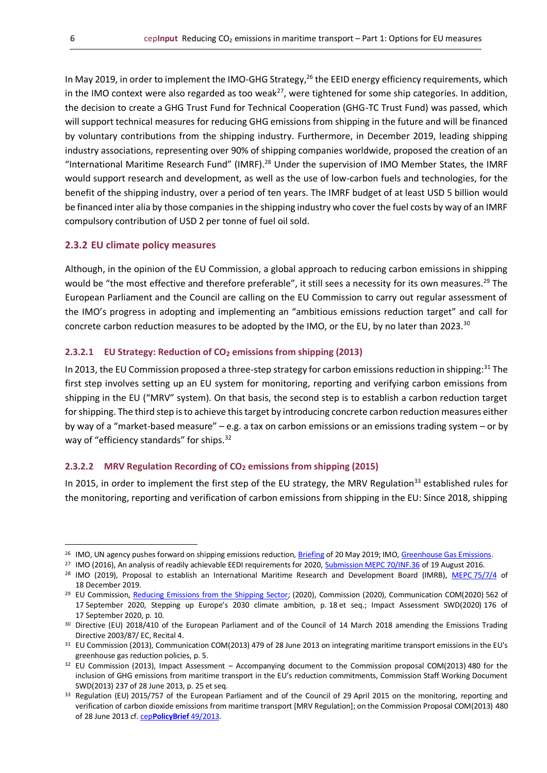In May 2019, in order to implement the IMO-GHG Strategy,<sup>26</sup> the EEID energy efficiency requirements, which in the IMO context were also regarded as too weak<sup>27</sup>, were tightened for some ship categories. In addition, the decision to create a GHG Trust Fund for Technical Cooperation (GHG-TC Trust Fund) was passed, which will support technical measures for reducing GHG emissions from shipping in the future and will be financed by voluntary contributions from the shipping industry. Furthermore, in December 2019, leading shipping industry associations, representing over 90% of shipping companies worldwide, proposed the creation of an "International Maritime Research Fund" (IMRF).<sup>28</sup> Under the supervision of IMO Member States, the IMRF would support research and development, as well as the use of low-carbon fuels and technologies, for the benefit of the shipping industry, over a period of ten years. The IMRF budget of at least USD 5 billion would be financed inter alia by those companies in the shipping industry who cover the fuel costs by way of an IMRF compulsory contribution of USD 2 per tonne of fuel oil sold.

#### <span id="page-5-0"></span>**2.3.2 EU climate policy measures**

Although, in the opinion of the EU Commission, a global approach to reducing carbon emissions in shipping would be "the most effective and therefore preferable", it still sees a necessity for its own measures.<sup>29</sup> The European Parliament and the Council are calling on the EU Commission to carry out regular assessment of the IMO's progress in adopting and implementing an "ambitious emissions reduction target" and call for concrete carbon reduction measures to be adopted by the IMO, or the EU, by no later than 2023.<sup>30</sup>

#### <span id="page-5-1"></span>**2.3.2.1 EU Strategy: Reduction of CO2 emissions from shipping (2013)**

In 2013, the EU Commission proposed a three-step strategy for carbon emissions reduction in shipping:<sup>31</sup> The first step involves setting up an EU system for monitoring, reporting and verifying carbon emissions from shipping in the EU ("MRV" system). On that basis, the second step is to establish a carbon reduction target for shipping. The third step is to achieve this target by introducing concrete carbon reduction measures either by way of a "market-based measure" – e.g. a tax on carbon emissions or an emissions trading system – or by way of "efficiency standards" for ships.<sup>32</sup>

#### <span id="page-5-2"></span>**2.3.2.2 MRV Regulation Recording of CO2 emissions from shipping (2015)**

In 2015, in order to implement the first step of the EU strategy, the MRV Regulation<sup>33</sup> established rules for the monitoring, reporting and verification of carbon emissions from shipping in the EU: Since 2018, shipping

<sup>&</sup>lt;sup>26</sup> IMO, UN agency pushes forward on shipping emissions reduction[, Briefing](http://www.imo.org/en/MediaCentre/PressBriefings/Pages/11-MEPC-74-GHG.aspx) of 20 May 2019; IMO, [Greenhouse Gas Emissions.](http://www.imo.org/en/OurWork/Environment/PollutionPrevention/AirPollution/Pages/GHG-Emissions.aspx)

<sup>&</sup>lt;sup>27</sup> IMO (2016), An analysis of readily achievable EEDI requirements for 2020, **Submission MEPC 70/INF.36** of 19 August 2016.

<sup>&</sup>lt;sup>28</sup> IMO (2019), Proposal to establish an International Maritime Research and Development Board (IMRB), MEPC [75/7/4](https://www.ics-shipping.org/docs/default-source/Submissions/IMO/final-imrb-submission-to-mepc-75.pdf) of 18 December 2019.

<sup>&</sup>lt;sup>29</sup> EU Commission, [Reducing Emissions from the Shipping Sector;](https://ec.europa.eu/clima/policies/transport/shipping_en) (2020), Commission (2020), Communication COM(2020) 562 of 17 September 2020, Stepping up Europe's 2030 climate ambition, p. 18 et seq.; Impact Assessment SWD(2020) 176 of 17 September 2020, p. 10.

<sup>&</sup>lt;sup>30</sup> Directive (EU) 2018/410 of the European Parliament and of the Council of 14 March 2018 amending the Emissions Trading Directive 2003/87/ EC, Recital 4.

<sup>31</sup> EU Commission (2013), Communication COM(2013) 479 of 28 June 2013 on integrating maritime transport emissions in the EU's greenhouse gas reduction policies, p. 5.

<sup>32</sup> EU Commission (2013), Impact Assessment – Accompanying document to the Commission proposal COM(2013) 480 for the inclusion of GHG emissions from maritime transport in the EU's reduction commitments, Commission Staff Working Document SWD(2013) 237 of 28 June 2013, p. 25 et seq.

<sup>33</sup> Regulation (EU) 2015/757 of the European Parliament and of the Council of 29 April 2015 on the monitoring, reporting and verification of carbon dioxide emissions from maritime transport [MRV Regulation]; on the Commission Proposal COM(2013) 480 of 28 June 2013 cf. cep**[PolicyBrief](https://www.cep.eu/en/eu-topics/details/cep/monitoring-of-co2-emissions-from-maritime-transport-regulation.html)** 49/2013.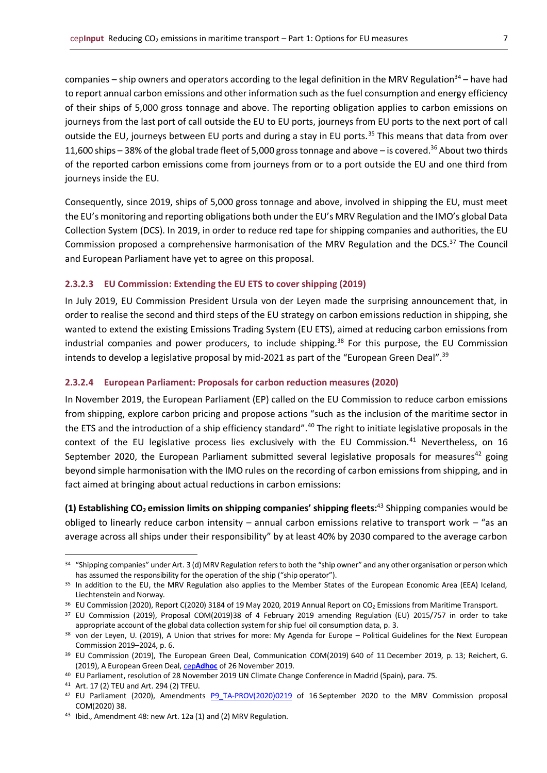companies – ship owners and operators according to the legal definition in the MRV Regulation<sup>34</sup> – have had to report annual carbon emissions and other information such as the fuel consumption and energy efficiency of their ships of 5,000 gross tonnage and above. The reporting obligation applies to carbon emissions on journeys from the last port of call outside the EU to EU ports, journeys from EU ports to the next port of call outside the EU, journeys between EU ports and during a stay in EU ports.<sup>35</sup> This means that data from over 11,600 ships – 38% of the global trade fleet of 5,000 gross tonnage and above – is covered.<sup>36</sup> About two thirds of the reported carbon emissions come from journeys from or to a port outside the EU and one third from journeys inside the EU.

Consequently, since 2019, ships of 5,000 gross tonnage and above, involved in shipping the EU, must meet the EU's monitoring and reporting obligations both under the EU's MRV Regulation and the IMO's global Data Collection System (DCS). In 2019, in order to reduce red tape for shipping companies and authorities, the EU Commission proposed a comprehensive harmonisation of the MRV Regulation and the DCS.<sup>37</sup> The Council and European Parliament have yet to agree on this proposal.

#### <span id="page-6-0"></span>**2.3.2.3 EU Commission: Extending the EU ETS to cover shipping (2019)**

In July 2019, EU Commission President Ursula von der Leyen made the surprising announcement that, in order to realise the second and third steps of the EU strategy on carbon emissions reduction in shipping, she wanted to extend the existing Emissions Trading System (EU ETS), aimed at reducing carbon emissions from industrial companies and power producers, to include shipping.<sup>38</sup> For this purpose, the EU Commission intends to develop a legislative proposal by mid-2021 as part of the "European Green Deal".<sup>39</sup>

#### <span id="page-6-1"></span>**2.3.2.4 European Parliament: Proposals for carbon reduction measures (2020)**

In November 2019, the European Parliament (EP) called on the EU Commission to reduce carbon emissions from shipping, explore carbon pricing and propose actions "such as the inclusion of the maritime sector in the ETS and the introduction of a ship efficiency standard".<sup>40</sup> The right to initiate legislative proposals in the context of the EU legislative process lies exclusively with the EU Commission.<sup>41</sup> Nevertheless, on 16 September 2020, the European Parliament submitted several legislative proposals for measures<sup>42</sup> going beyond simple harmonisation with the IMO rules on the recording of carbon emissions from shipping, and in fact aimed at bringing about actual reductions in carbon emissions:

**(1) Establishing CO2 emission limits on shipping companies' shipping fleets:**<sup>43</sup> Shipping companies would be obliged to linearly reduce carbon intensity – annual carbon emissions relative to transport work – "as an average across all ships under their responsibility" by at least 40% by 2030 compared to the average carbon

<sup>34 &</sup>quot;Shipping companies" under Art. 3 (d) MRV Regulation refers to both the "ship owner" and any other organisation or person which has assumed the responsibility for the operation of the ship ("ship operator").

<sup>&</sup>lt;sup>35</sup> In addition to the EU, the MRV Regulation also applies to the Member States of the European Economic Area (EEA) Iceland, Liechtenstein and Norway.

<sup>&</sup>lt;sup>36</sup> EU Commission (2020), Report C(2020) 3184 of 19 May 2020, 2019 Annual Report on CO<sub>2</sub> Emissions from Maritime Transport.

<sup>37</sup> EU Commission (2019), Proposal COM(2019)38 of 4 February 2019 amending Regulation (EU) 2015/757 in order to take appropriate account of the global data collection system for ship fuel oil consumption data, p. 3.

<sup>38</sup> von der Leyen, U. (2019), A Union that strives for more: My Agenda for Europe – Political Guidelines for the Next European Commission 2019–2024, p. 6.

<sup>39</sup> EU Commission (2019), The European Green Deal, Communication COM(2019) 640 of 11 December 2019, p. 13; Reichert, G. (2019), A European Green Deal, cep**[Adhoc](https://www.cep.eu/en/eu-topics/details/cep/arbeitsauftraege-von-der-leyens-an-die-neue-eu-kommission-teil-2-ein-europaeischer-gruener-deal.html)** of 26 November 2019.

<sup>40</sup> EU Parliament, resolution of 28 November 2019 UN Climate Change Conference in Madrid (Spain), para. 75.

<sup>41</sup> Art. 17 (2) TEU and Art. 294 (2) TFEU.

<sup>&</sup>lt;sup>42</sup> EU Parliament (2020), Amendments [P9\\_TA-PROV\(2020\)0219](https://www.europarl.europa.eu/doceo/document/TA-9-2020-0219_EN.html) of 16 September 2020 to the MRV Commission proposal COM(2020) 38.

<sup>43</sup> Ibid., Amendment 48: new Art. 12a (1) and (2) MRV Regulation.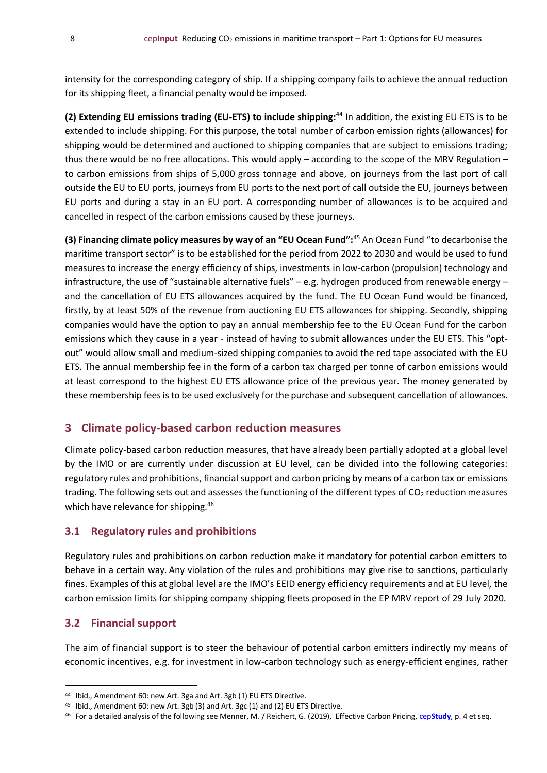intensity for the corresponding category of ship. If a shipping company fails to achieve the annual reduction for its shipping fleet, a financial penalty would be imposed.

**(2) Extending EU emissions trading (EU-ETS) to include shipping:**<sup>44</sup> In addition, the existing EU ETS is to be extended to include shipping. For this purpose, the total number of carbon emission rights (allowances) for shipping would be determined and auctioned to shipping companies that are subject to emissions trading; thus there would be no free allocations. This would apply – according to the scope of the MRV Regulation – to carbon emissions from ships of 5,000 gross tonnage and above, on journeys from the last port of call outside the EU to EU ports, journeys from EU ports to the next port of call outside the EU, journeys between EU ports and during a stay in an EU port. A corresponding number of allowances is to be acquired and cancelled in respect of the carbon emissions caused by these journeys.

**(3) Financing climate policy measures by way of an "EU Ocean Fund":**<sup>45</sup> An Ocean Fund "to decarbonise the maritime transport sector" is to be established for the period from 2022 to 2030 and would be used to fund measures to increase the energy efficiency of ships, investments in low-carbon (propulsion) technology and infrastructure, the use of "sustainable alternative fuels" – e.g. hydrogen produced from renewable energy – and the cancellation of EU ETS allowances acquired by the fund. The EU Ocean Fund would be financed, firstly, by at least 50% of the revenue from auctioning EU ETS allowances for shipping. Secondly, shipping companies would have the option to pay an annual membership fee to the EU Ocean Fund for the carbon emissions which they cause in a year - instead of having to submit allowances under the EU ETS. This "optout" would allow small and medium-sized shipping companies to avoid the red tape associated with the EU ETS. The annual membership fee in the form of a carbon tax charged per tonne of carbon emissions would at least correspond to the highest EU ETS allowance price of the previous year. The money generated by these membership fees is to be used exclusively for the purchase and subsequent cancellation of allowances.

## <span id="page-7-0"></span>**3 Climate policy-based carbon reduction measures**

Climate policy-based carbon reduction measures, that have already been partially adopted at a global level by the IMO or are currently under discussion at EU level, can be divided into the following categories: regulatory rules and prohibitions, financial support and carbon pricing by means of a carbon tax or emissions trading. The following sets out and assesses the functioning of the different types of  $CO<sub>2</sub>$  reduction measures which have relevance for shipping.<sup>46</sup>

#### <span id="page-7-1"></span>**3.1 Regulatory rules and prohibitions**

Regulatory rules and prohibitions on carbon reduction make it mandatory for potential carbon emitters to behave in a certain way. Any violation of the rules and prohibitions may give rise to sanctions, particularly fines. Examples of this at global level are the IMO's EEID energy efficiency requirements and at EU level, the carbon emission limits for shipping company shipping fleets proposed in the EP MRV report of 29 July 2020.

#### <span id="page-7-2"></span>**3.2 Financial support**

The aim of financial support is to steer the behaviour of potential carbon emitters indirectly my means of economic incentives, e.g. for investment in low-carbon technology such as energy-efficient engines, rather

<sup>44</sup> Ibid., Amendment 60: new Art. 3ga and Art. 3gb (1) EU ETS Directive.

<sup>45</sup> Ibid., Amendment 60: new Art. 3gb (3) and Art. 3gc (1) and (2) EU ETS Directive.

<sup>46</sup> For a detailed analysis of the following see Menner, M. / Reichert, G. (2019), Effective Carbon Pricing, cep**[Study](https://www.cep.eu/en/eu-topics/details/cep/wirksame-co2-bepreisung-jetzt-die-weichen-richtig-stellen.html)**, p. 4 et seq.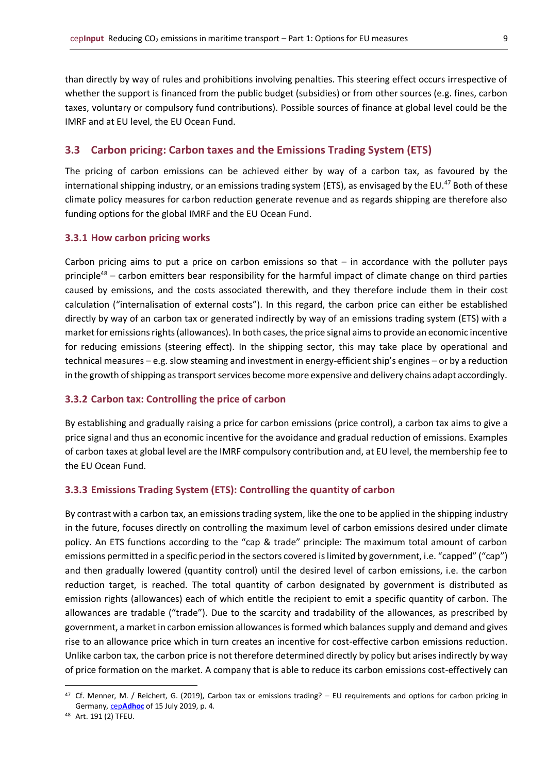than directly by way of rules and prohibitions involving penalties. This steering effect occurs irrespective of whether the support is financed from the public budget (subsidies) or from other sources (e.g. fines, carbon taxes, voluntary or compulsory fund contributions). Possible sources of finance at global level could be the IMRF and at EU level, the EU Ocean Fund.

#### <span id="page-8-0"></span>**3.3 Carbon pricing: Carbon taxes and the Emissions Trading System (ETS)**

The pricing of carbon emissions can be achieved either by way of a carbon tax, as favoured by the international shipping industry, or an emissions trading system (ETS), as envisaged by the EU.<sup>47</sup> Both of these climate policy measures for carbon reduction generate revenue and as regards shipping are therefore also funding options for the global IMRF and the EU Ocean Fund.

#### <span id="page-8-1"></span>**3.3.1 How carbon pricing works**

Carbon pricing aims to put a price on carbon emissions so that  $-$  in accordance with the polluter pays principle<sup>48</sup> – carbon emitters bear responsibility for the harmful impact of climate change on third parties caused by emissions, and the costs associated therewith, and they therefore include them in their cost calculation ("internalisation of external costs"). In this regard, the carbon price can either be established directly by way of an carbon tax or generated indirectly by way of an emissions trading system (ETS) with a market for emissions rights (allowances). In both cases, the price signal aims to provide an economic incentive for reducing emissions (steering effect). In the shipping sector, this may take place by operational and technical measures – e.g. slow steaming and investment in energy-efficient ship's engines – or by a reduction in the growth of shipping as transport services become more expensive and delivery chains adapt accordingly.

#### <span id="page-8-2"></span>**3.3.2 Carbon tax: Controlling the price of carbon**

By establishing and gradually raising a price for carbon emissions (price control), a carbon tax aims to give a price signal and thus an economic incentive for the avoidance and gradual reduction of emissions. Examples of carbon taxes at global level are the IMRF compulsory contribution and, at EU level, the membership fee to the EU Ocean Fund.

#### <span id="page-8-3"></span>**3.3.3 Emissions Trading System (ETS): Controlling the quantity of carbon**

By contrast with a carbon tax, an emissions trading system, like the one to be applied in the shipping industry in the future, focuses directly on controlling the maximum level of carbon emissions desired under climate policy. An ETS functions according to the "cap & trade" principle: The maximum total amount of carbon emissions permitted in a specific period in the sectors covered is limited by government, i.e. "capped" ("cap") and then gradually lowered (quantity control) until the desired level of carbon emissions, i.e. the carbon reduction target, is reached. The total quantity of carbon designated by government is distributed as emission rights (allowances) each of which entitle the recipient to emit a specific quantity of carbon. The allowances are tradable ("trade"). Due to the scarcity and tradability of the allowances, as prescribed by government, a market in carbon emission allowances is formed which balances supply and demand and gives rise to an allowance price which in turn creates an incentive for cost-effective carbon emissions reduction. Unlike carbon tax, the carbon price is not therefore determined directly by policy but arises indirectly by way of price formation on the market. A company that is able to reduce its carbon emissions cost-effectively can

<sup>47</sup> Cf. Menner, M. / Reichert, G. (2019), Carbon tax or emissions trading? – EU requirements and options for carbon pricing in Germany, cep**[Adhoc](https://www.cep.eu/en/eu-topics/details/cep/co2-steuer-oder-emissionshandel.html)** of 15 July 2019, p. 4.

<sup>48</sup> Art. 191 (2) TFEU.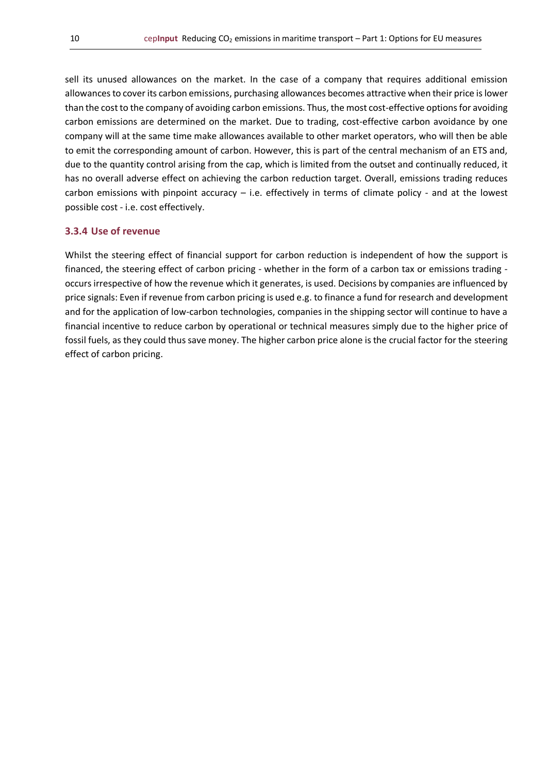sell its unused allowances on the market. In the case of a company that requires additional emission allowances to cover its carbon emissions, purchasing allowances becomes attractive when their price is lower than the cost to the company of avoiding carbon emissions. Thus, the most cost-effective options for avoiding carbon emissions are determined on the market. Due to trading, cost-effective carbon avoidance by one company will at the same time make allowances available to other market operators, who will then be able to emit the corresponding amount of carbon. However, this is part of the central mechanism of an ETS and, due to the quantity control arising from the cap, which is limited from the outset and continually reduced, it has no overall adverse effect on achieving the carbon reduction target. Overall, emissions trading reduces carbon emissions with pinpoint accuracy – i.e. effectively in terms of climate policy - and at the lowest possible cost - i.e. cost effectively.

#### <span id="page-9-0"></span>**3.3.4 Use of revenue**

Whilst the steering effect of financial support for carbon reduction is independent of how the support is financed, the steering effect of carbon pricing - whether in the form of a carbon tax or emissions trading occurs irrespective of how the revenue which it generates, is used. Decisions by companies are influenced by price signals: Even if revenue from carbon pricing is used e.g. to finance a fund for research and development and for the application of low-carbon technologies, companies in the shipping sector will continue to have a financial incentive to reduce carbon by operational or technical measures simply due to the higher price of fossil fuels, as they could thus save money. The higher carbon price alone is the crucial factor for the steering effect of carbon pricing.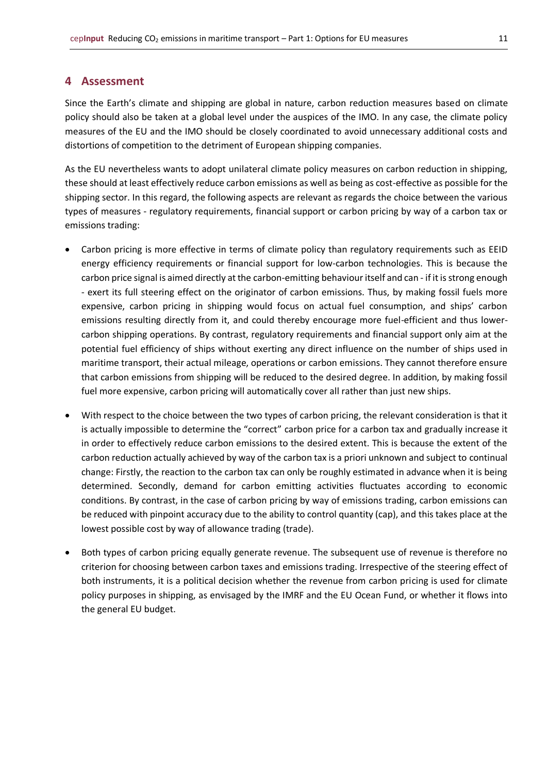### <span id="page-10-0"></span>**4 Assessment**

Since the Earth's climate and shipping are global in nature, carbon reduction measures based on climate policy should also be taken at a global level under the auspices of the IMO. In any case, the climate policy measures of the EU and the IMO should be closely coordinated to avoid unnecessary additional costs and distortions of competition to the detriment of European shipping companies.

As the EU nevertheless wants to adopt unilateral climate policy measures on carbon reduction in shipping, these should at least effectively reduce carbon emissions as well as being as cost-effective as possible for the shipping sector. In this regard, the following aspects are relevant as regards the choice between the various types of measures - regulatory requirements, financial support or carbon pricing by way of a carbon tax or emissions trading:

- Carbon pricing is more effective in terms of climate policy than regulatory requirements such as EEID energy efficiency requirements or financial support for low-carbon technologies. This is because the carbon price signal is aimed directly at the carbon-emitting behaviour itself and can - if it is strong enough - exert its full steering effect on the originator of carbon emissions. Thus, by making fossil fuels more expensive, carbon pricing in shipping would focus on actual fuel consumption, and ships' carbon emissions resulting directly from it, and could thereby encourage more fuel-efficient and thus lowercarbon shipping operations. By contrast, regulatory requirements and financial support only aim at the potential fuel efficiency of ships without exerting any direct influence on the number of ships used in maritime transport, their actual mileage, operations or carbon emissions. They cannot therefore ensure that carbon emissions from shipping will be reduced to the desired degree. In addition, by making fossil fuel more expensive, carbon pricing will automatically cover all rather than just new ships.
- With respect to the choice between the two types of carbon pricing, the relevant consideration is that it is actually impossible to determine the "correct" carbon price for a carbon tax and gradually increase it in order to effectively reduce carbon emissions to the desired extent. This is because the extent of the carbon reduction actually achieved by way of the carbon tax is a priori unknown and subject to continual change: Firstly, the reaction to the carbon tax can only be roughly estimated in advance when it is being determined. Secondly, demand for carbon emitting activities fluctuates according to economic conditions. By contrast, in the case of carbon pricing by way of emissions trading, carbon emissions can be reduced with pinpoint accuracy due to the ability to control quantity (cap), and this takes place at the lowest possible cost by way of allowance trading (trade).
- Both types of carbon pricing equally generate revenue. The subsequent use of revenue is therefore no criterion for choosing between carbon taxes and emissions trading. Irrespective of the steering effect of both instruments, it is a political decision whether the revenue from carbon pricing is used for climate policy purposes in shipping, as envisaged by the IMRF and the EU Ocean Fund, or whether it flows into the general EU budget.